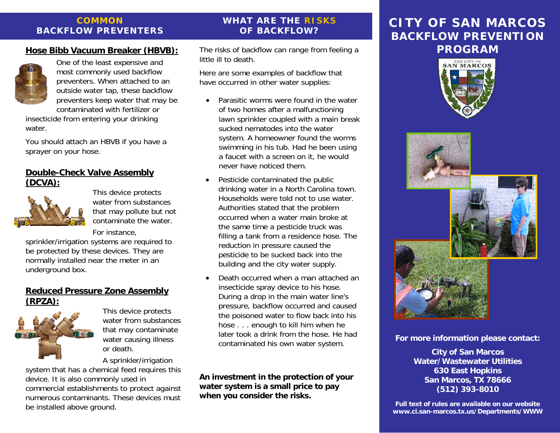#### **COMMON BACKFLOW PREVENTERS**

#### **Hose Bibb Vacuum Breaker (HBVB):**



One of the least expensive and most commonly used backflow preventers. When attached to an outside water tap, these backflow preventers keep water that may be contaminated with fertilizer or

insecticide from entering your drinking water.

You should attach an HBVB if you have a sprayer on your hose.

#### **Double-Check Valve Assembly (DCVA):**



This device protects water from substances that may pollute but not contaminate the water.

For instance,

sprinkler/irrigation systems are required to be protected by these devices. They are normally installed near the meter in an underground box.

#### **Reduced Pressure Zone Assembly (RPZA):**



This device protects water from substances that may contaminate water causing illness or death.

A sprinkler/irrigation system that has a chemical feed requires this device. It is also commonly used in commercial establishments to protect against numerous contaminants. These devices must be installed above ground.

# The risks of backflow can range from feeling a

**WHAT ARE THE RISKS OF BACKFLOW?** 

little ill to death.

Here are some examples of backflow that have occurred in other water supplies:

- $\bullet$  Parasitic worms were found in the water of two homes after a malfunctioning lawn sprinkler coupled with a main break sucked nematodes into the water system. A homeowner found the worms swimming in his tub. Had he been using a faucet with a screen on it, he would never have noticed them.
- • Pesticide contaminated the public drinking water in a North Carolina town. Households were told not to use water. Authorities stated that the problem occurred when a water main broke at the same time a pesticide truck was filling a tank from a residence hose. The reduction in pressure caused the pesticide to be sucked back into the building and the city water supply.
- • Death occurred when a man attached an insecticide spray device to his hose. During a drop in the main water line's pressure, backflow occurred and caused the poisoned water to flow back into his hose . . . enough to kill him when he later took a drink from the hose. He had contaminated his own water system.

**An investment in the protection of your water system is a small price to pay when you consider the risks.**

# **CITY OF SAN MARCOSBACKFLOW PREVENTION PROGRAM**





**For more information please contact:** 

**City of San Marcos Water/Wastewater Utilities 630 East Hopkins San Marcos, TX 78666 (512) 393-8010** 

**Full text of rules are available on our website www.ci.san-marcos.tx.us/Departments/WWW**